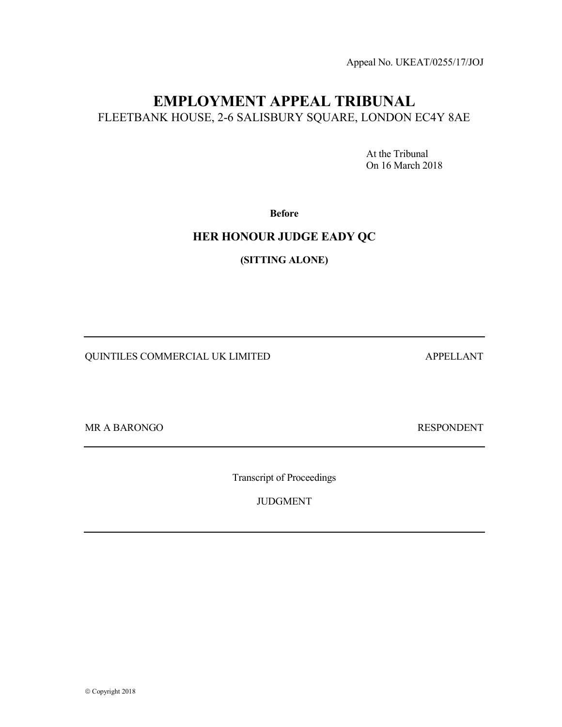Appeal No. UKEAT/0255/17/JOJ

# EMPLOYMENT APPEAL TRIBUNAL FLEETBANK HOUSE, 2-6 SALISBURY SQUARE, LONDON EC4Y 8AE

 At the Tribunal On 16 March 2018

Before

## HER HONOUR JUDGE EADY QC

(SITTING ALONE)

QUINTILES COMMERCIAL UK LIMITED APPELLANT

MR A BARONGO RESPONDENT

Transcript of Proceedings

JUDGMENT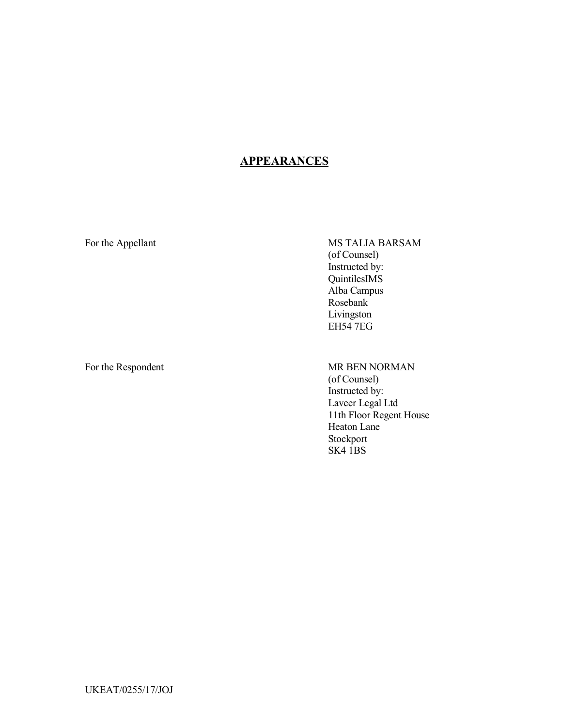## **APPEARANCES**

For the Appellant MS TALIA BARSAM (of Counsel) Instructed by: QuintilesIMS Alba Campus Rosebank Livingston EH54 7EG

For the Respondent MR BEN NORMAN (of Counsel) Instructed by: Laveer Legal Ltd 11th Floor Regent House Heaton Lane Stockport SK4 1BS

UKEAT/0255/17/JOJ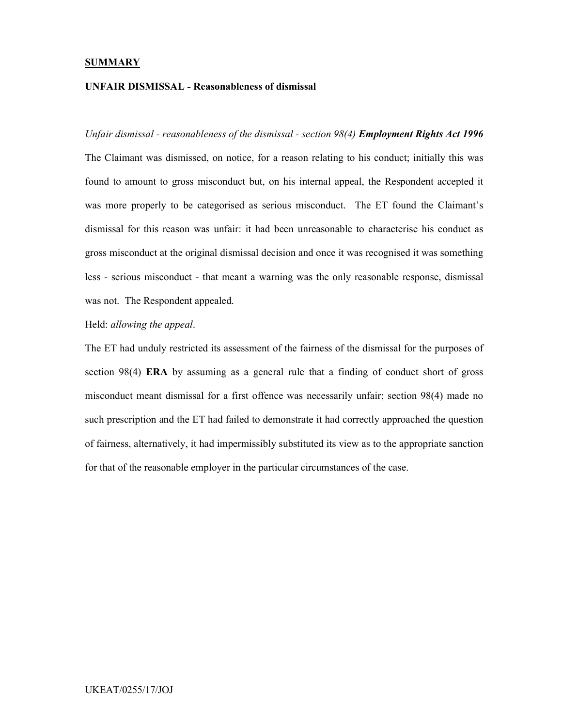#### **SUMMARY**

## UNFAIR DISMISSAL - Reasonableness of dismissal

Unfair dismissal - reasonableness of the dismissal - section 98(4) **Employment Rights Act 1996** The Claimant was dismissed, on notice, for a reason relating to his conduct; initially this was found to amount to gross misconduct but, on his internal appeal, the Respondent accepted it was more properly to be categorised as serious misconduct. The ET found the Claimant's dismissal for this reason was unfair: it had been unreasonable to characterise his conduct as gross misconduct at the original dismissal decision and once it was recognised it was something less - serious misconduct - that meant a warning was the only reasonable response, dismissal was not. The Respondent appealed.

Held: allowing the appeal.

The ET had unduly restricted its assessment of the fairness of the dismissal for the purposes of section 98(4) ERA by assuming as a general rule that a finding of conduct short of gross misconduct meant dismissal for a first offence was necessarily unfair; section 98(4) made no such prescription and the ET had failed to demonstrate it had correctly approached the question of fairness, alternatively, it had impermissibly substituted its view as to the appropriate sanction for that of the reasonable employer in the particular circumstances of the case.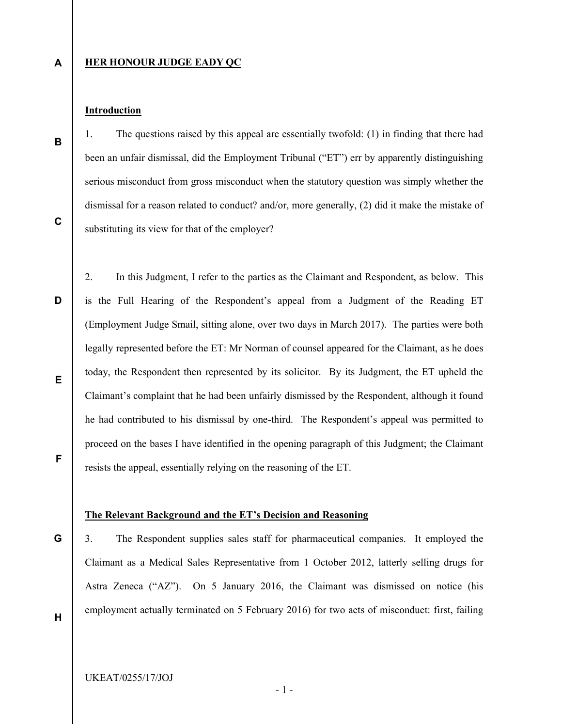A

B

#### **HER HONOUR JUDGE EADY QC**

### **Introduction**

1. The questions raised by this appeal are essentially twofold: (1) in finding that there had been an unfair dismissal, did the Employment Tribunal ("ET") err by apparently distinguishing serious misconduct from gross misconduct when the statutory question was simply whether the dismissal for a reason related to conduct? and/or, more generally, (2) did it make the mistake of substituting its view for that of the employer?

D

2. In this Judgment, I refer to the parties as the Claimant and Respondent, as below. This is the Full Hearing of the Respondent's appeal from a Judgment of the Reading ET (Employment Judge Smail, sitting alone, over two days in March 2017). The parties were both legally represented before the ET: Mr Norman of counsel appeared for the Claimant, as he does today, the Respondent then represented by its solicitor. By its Judgment, the ET upheld the Claimant's complaint that he had been unfairly dismissed by the Respondent, although it found he had contributed to his dismissal by one-third. The Respondent's appeal was permitted to proceed on the bases I have identified in the opening paragraph of this Judgment; the Claimant resists the appeal, essentially relying on the reasoning of the ET.

F

E

#### The Relevant Background and the ET's Decision and Reasoning

G

3. The Respondent supplies sales staff for pharmaceutical companies. It employed the Claimant as a Medical Sales Representative from 1 October 2012, latterly selling drugs for Astra Zeneca ("AZ"). On 5 January 2016, the Claimant was dismissed on notice (his employment actually terminated on 5 February 2016) for two acts of misconduct: first, failing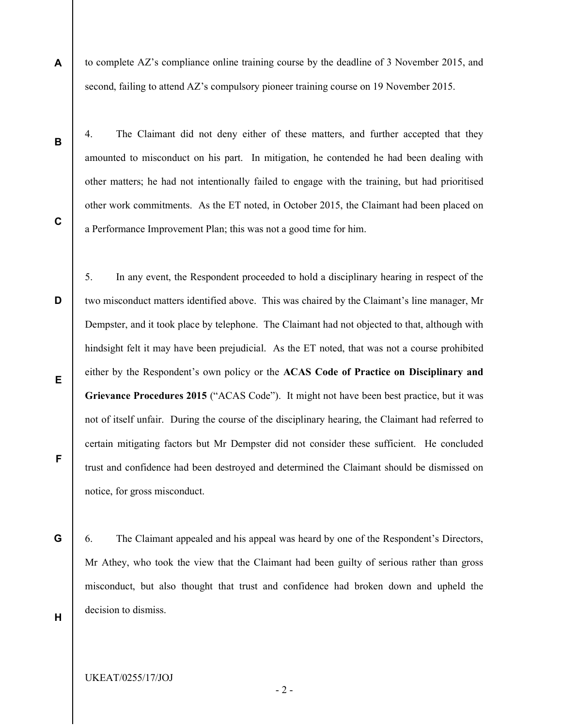to complete AZ's compliance online training course by the deadline of 3 November 2015, and second, failing to attend AZ's compulsory pioneer training course on 19 November 2015.

B

A

4. The Claimant did not deny either of these matters, and further accepted that they amounted to misconduct on his part. In mitigation, he contended he had been dealing with other matters; he had not intentionally failed to engage with the training, but had prioritised other work commitments. As the ET noted, in October 2015, the Claimant had been placed on a Performance Improvement Plan; this was not a good time for him.

D E F 5. In any event, the Respondent proceeded to hold a disciplinary hearing in respect of the two misconduct matters identified above. This was chaired by the Claimant's line manager, Mr Dempster, and it took place by telephone. The Claimant had not objected to that, although with hindsight felt it may have been prejudicial. As the ET noted, that was not a course prohibited either by the Respondent's own policy or the ACAS Code of Practice on Disciplinary and Grievance Procedures 2015 ("ACAS Code"). It might not have been best practice, but it was not of itself unfair. During the course of the disciplinary hearing, the Claimant had referred to certain mitigating factors but Mr Dempster did not consider these sufficient. He concluded trust and confidence had been destroyed and determined the Claimant should be dismissed on notice, for gross misconduct.

G

6. The Claimant appealed and his appeal was heard by one of the Respondent's Directors, Mr Athey, who took the view that the Claimant had been guilty of serious rather than gross misconduct, but also thought that trust and confidence had broken down and upheld the decision to dismiss.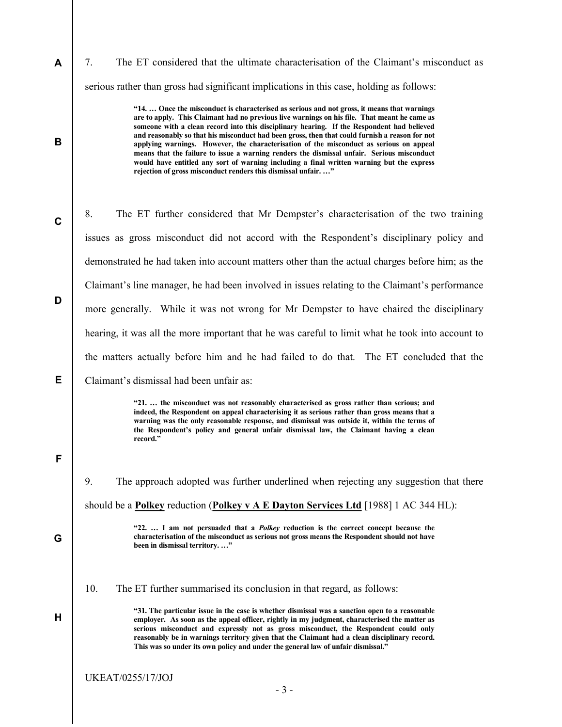7. The ET considered that the ultimate characterisation of the Claimant's misconduct as serious rather than gross had significant implications in this case, holding as follows:

> "14. … Once the misconduct is characterised as serious and not gross, it means that warnings are to apply. This Claimant had no previous live warnings on his file. That meant he came as someone with a clean record into this disciplinary hearing. If the Respondent had believed and reasonably so that his misconduct had been gross, then that could furnish a reason for not applying warnings. However, the characterisation of the misconduct as serious on appeal means that the failure to issue a warning renders the dismissal unfair. Serious misconduct would have entitled any sort of warning including a final written warning but the express rejection of gross misconduct renders this dismissal unfair. …"

C D E 8. The ET further considered that Mr Dempster's characterisation of the two training issues as gross misconduct did not accord with the Respondent's disciplinary policy and demonstrated he had taken into account matters other than the actual charges before him; as the Claimant's line manager, he had been involved in issues relating to the Claimant's performance more generally. While it was not wrong for Mr Dempster to have chaired the disciplinary hearing, it was all the more important that he was careful to limit what he took into account to the matters actually before him and he had failed to do that. The ET concluded that the

Claimant's dismissal had been unfair as:

"21. … the misconduct was not reasonably characterised as gross rather than serious; and indeed, the Respondent on appeal characterising it as serious rather than gross means that a warning was the only reasonable response, and dismissal was outside it, within the terms of the Respondent's policy and general unfair dismissal law, the Claimant having a clean record."

F

A

B

9. The approach adopted was further underlined when rejecting any suggestion that there should be a Polkey reduction (Polkey v  $A \to D$ ayton Services Ltd [1988] 1 AC 344 HL):

G

H

"22. ... I am not persuaded that a *Polkey* reduction is the correct concept because the characterisation of the misconduct as serious not gross means the Respondent should not have been in dismissal territory. …"

10. The ET further summarised its conclusion in that regard, as follows:

"31. The particular issue in the case is whether dismissal was a sanction open to a reasonable employer. As soon as the appeal officer, rightly in my judgment, characterised the matter as serious misconduct and expressly not as gross misconduct, the Respondent could only reasonably be in warnings territory given that the Claimant had a clean disciplinary record. This was so under its own policy and under the general law of unfair dismissal."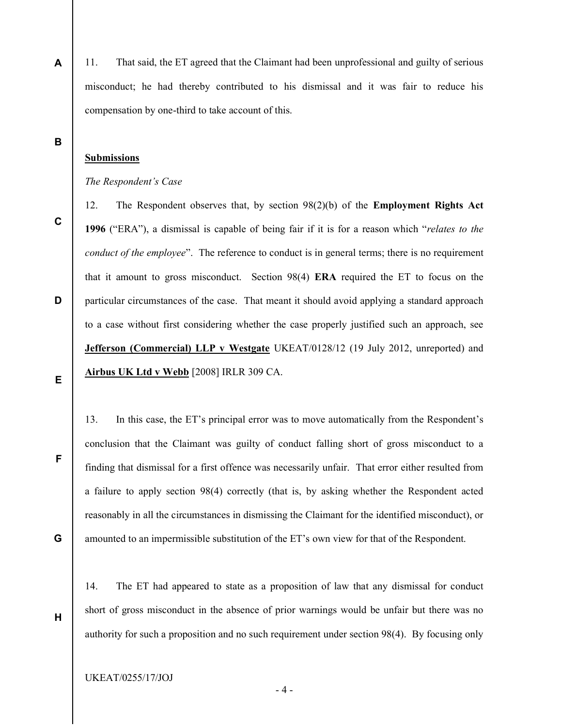A 11. That said, the ET agreed that the Claimant had been unprofessional and guilty of serious misconduct; he had thereby contributed to his dismissal and it was fair to reduce his compensation by one-third to take account of this.

B

## Submissions

#### The Respondent's Case

C

12. The Respondent observes that, by section 98(2)(b) of the Employment Rights Act 1996 ("ERA"), a dismissal is capable of being fair if it is for a reason which "relates to the conduct of the employee". The reference to conduct is in general terms; there is no requirement that it amount to gross misconduct. Section 98(4) ERA required the ET to focus on the particular circumstances of the case. That meant it should avoid applying a standard approach to a case without first considering whether the case properly justified such an approach, see Jefferson (Commercial) LLP v Westgate UKEAT/0128/12 (19 July 2012, unreported) and Airbus UK Ltd v Webb [2008] IRLR 309 CA.

E

F

G

H

D

13. In this case, the ET's principal error was to move automatically from the Respondent's conclusion that the Claimant was guilty of conduct falling short of gross misconduct to a finding that dismissal for a first offence was necessarily unfair. That error either resulted from a failure to apply section 98(4) correctly (that is, by asking whether the Respondent acted reasonably in all the circumstances in dismissing the Claimant for the identified misconduct), or amounted to an impermissible substitution of the ET's own view for that of the Respondent.

14. The ET had appeared to state as a proposition of law that any dismissal for conduct short of gross misconduct in the absence of prior warnings would be unfair but there was no authority for such a proposition and no such requirement under section 98(4). By focusing only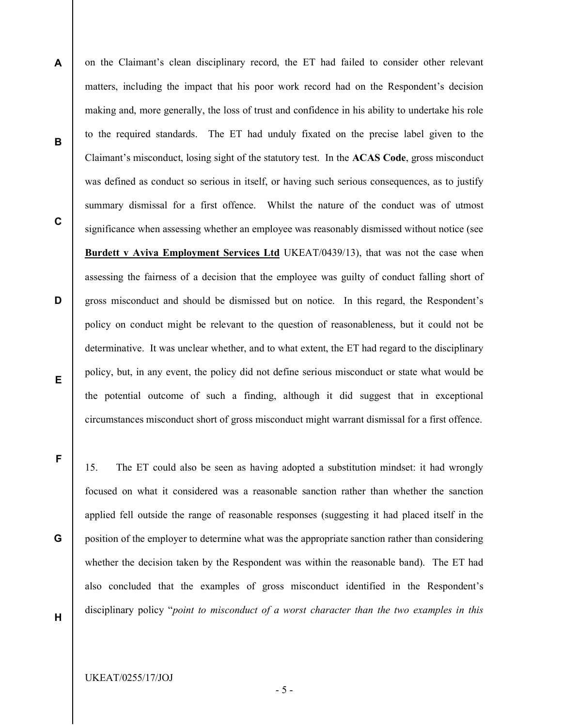B

A

C

matters, including the impact that his poor work record had on the Respondent's decision making and, more generally, the loss of trust and confidence in his ability to undertake his role to the required standards. The ET had unduly fixated on the precise label given to the Claimant's misconduct, losing sight of the statutory test. In the ACAS Code, gross misconduct was defined as conduct so serious in itself, or having such serious consequences, as to justify summary dismissal for a first offence. Whilst the nature of the conduct was of utmost significance when assessing whether an employee was reasonably dismissed without notice (see Burdett v Aviva Employment Services Ltd UKEAT/0439/13), that was not the case when assessing the fairness of a decision that the employee was guilty of conduct falling short of gross misconduct and should be dismissed but on notice. In this regard, the Respondent's policy on conduct might be relevant to the question of reasonableness, but it could not be determinative. It was unclear whether, and to what extent, the ET had regard to the disciplinary policy, but, in any event, the policy did not define serious misconduct or state what would be the potential outcome of such a finding, although it did suggest that in exceptional circumstances misconduct short of gross misconduct might warrant dismissal for a first offence.

on the Claimant's clean disciplinary record, the ET had failed to consider other relevant

E

D

F

G

15. The ET could also be seen as having adopted a substitution mindset: it had wrongly focused on what it considered was a reasonable sanction rather than whether the sanction applied fell outside the range of reasonable responses (suggesting it had placed itself in the position of the employer to determine what was the appropriate sanction rather than considering whether the decision taken by the Respondent was within the reasonable band). The ET had also concluded that the examples of gross misconduct identified in the Respondent's disciplinary policy "point to misconduct of a worst character than the two examples in this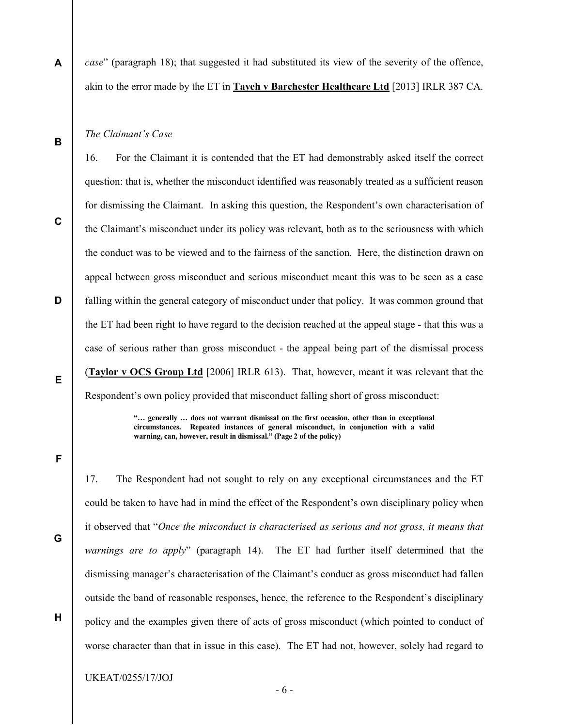case" (paragraph 18); that suggested it had substituted its view of the severity of the offence, akin to the error made by the ET in Tayeh v Barchester Healthcare Ltd [2013] IRLR 387 CA.

#### The Claimant's Case

16. For the Claimant it is contended that the ET had demonstrably asked itself the correct question: that is, whether the misconduct identified was reasonably treated as a sufficient reason for dismissing the Claimant. In asking this question, the Respondent's own characterisation of the Claimant's misconduct under its policy was relevant, both as to the seriousness with which the conduct was to be viewed and to the fairness of the sanction. Here, the distinction drawn on appeal between gross misconduct and serious misconduct meant this was to be seen as a case falling within the general category of misconduct under that policy. It was common ground that the ET had been right to have regard to the decision reached at the appeal stage - that this was a case of serious rather than gross misconduct - the appeal being part of the dismissal process (Taylor v OCS Group Ltd [2006] IRLR 613). That, however, meant it was relevant that the Respondent's own policy provided that misconduct falling short of gross misconduct:

> "… generally … does not warrant dismissal on the first occasion, other than in exceptional circumstances. Repeated instances of general misconduct, in conjunction with a valid warning, can, however, result in dismissal." (Page 2 of the policy)

F

17. The Respondent had not sought to rely on any exceptional circumstances and the ET could be taken to have had in mind the effect of the Respondent's own disciplinary policy when it observed that "Once the misconduct is characterised as serious and not gross, it means that warnings are to apply" (paragraph 14). The ET had further itself determined that the dismissing manager's characterisation of the Claimant's conduct as gross misconduct had fallen outside the band of reasonable responses, hence, the reference to the Respondent's disciplinary policy and the examples given there of acts of gross misconduct (which pointed to conduct of worse character than that in issue in this case). The ET had not, however, solely had regard to

C

B

A

E

D

G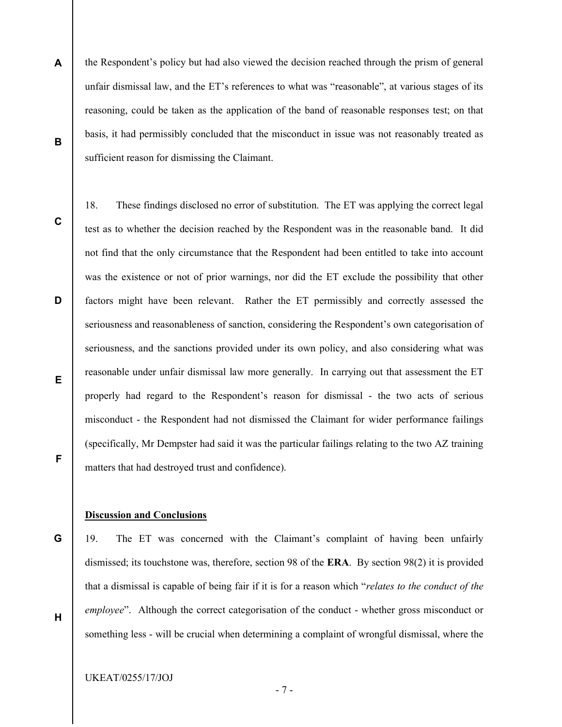- A B the Respondent's policy but had also viewed the decision reached through the prism of general unfair dismissal law, and the ET's references to what was "reasonable", at various stages of its reasoning, could be taken as the application of the band of reasonable responses test; on that basis, it had permissibly concluded that the misconduct in issue was not reasonably treated as sufficient reason for dismissing the Claimant.
- C

D

E

F

18. These findings disclosed no error of substitution. The ET was applying the correct legal test as to whether the decision reached by the Respondent was in the reasonable band. It did not find that the only circumstance that the Respondent had been entitled to take into account was the existence or not of prior warnings, nor did the ET exclude the possibility that other factors might have been relevant. Rather the ET permissibly and correctly assessed the seriousness and reasonableness of sanction, considering the Respondent's own categorisation of seriousness, and the sanctions provided under its own policy, and also considering what was reasonable under unfair dismissal law more generally. In carrying out that assessment the ET properly had regard to the Respondent's reason for dismissal - the two acts of serious misconduct - the Respondent had not dismissed the Claimant for wider performance failings (specifically, Mr Dempster had said it was the particular failings relating to the two AZ training matters that had destroyed trust and confidence).

## Discussion and Conclusions

G

H

19. The ET was concerned with the Claimant's complaint of having been unfairly dismissed; its touchstone was, therefore, section 98 of the ERA. By section 98(2) it is provided that a dismissal is capable of being fair if it is for a reason which "relates to the conduct of the employee". Although the correct categorisation of the conduct - whether gross misconduct or something less - will be crucial when determining a complaint of wrongful dismissal, where the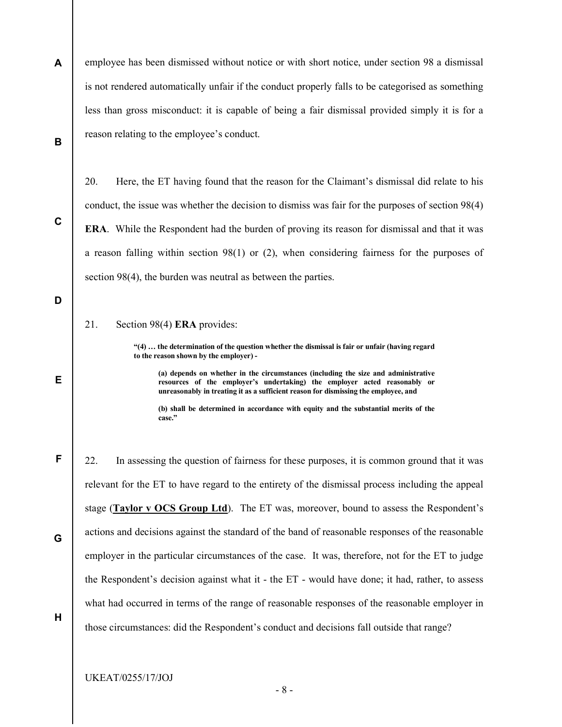A B employee has been dismissed without notice or with short notice, under section 98 a dismissal is not rendered automatically unfair if the conduct properly falls to be categorised as something less than gross misconduct: it is capable of being a fair dismissal provided simply it is for a reason relating to the employee's conduct.

20. Here, the ET having found that the reason for the Claimant's dismissal did relate to his conduct, the issue was whether the decision to dismiss was fair for the purposes of section 98(4) ERA. While the Respondent had the burden of proving its reason for dismissal and that it was a reason falling within section 98(1) or (2), when considering fairness for the purposes of section 98(4), the burden was neutral as between the parties.

21. Section 98(4) ERA provides:

C

D

E

F

G

H

"(4) … the determination of the question whether the dismissal is fair or unfair (having regard to the reason shown by the employer) -

(a) depends on whether in the circumstances (including the size and administrative resources of the employer's undertaking) the employer acted reasonably or unreasonably in treating it as a sufficient reason for dismissing the employee, and

(b) shall be determined in accordance with equity and the substantial merits of the case."

22. In assessing the question of fairness for these purposes, it is common ground that it was relevant for the ET to have regard to the entirety of the dismissal process including the appeal stage (Taylor v OCS Group Ltd). The ET was, moreover, bound to assess the Respondent's actions and decisions against the standard of the band of reasonable responses of the reasonable employer in the particular circumstances of the case. It was, therefore, not for the ET to judge the Respondent's decision against what it - the ET - would have done; it had, rather, to assess what had occurred in terms of the range of reasonable responses of the reasonable employer in those circumstances: did the Respondent's conduct and decisions fall outside that range?

UKEAT/0255/17/JOJ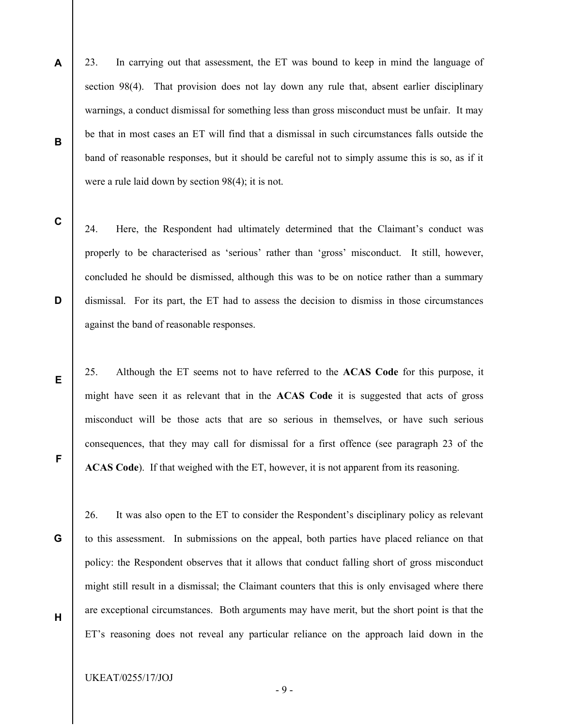A B 23. In carrying out that assessment, the ET was bound to keep in mind the language of section 98(4). That provision does not lay down any rule that, absent earlier disciplinary warnings, a conduct dismissal for something less than gross misconduct must be unfair. It may be that in most cases an ET will find that a dismissal in such circumstances falls outside the band of reasonable responses, but it should be careful not to simply assume this is so, as if it were a rule laid down by section 98(4); it is not.

C

D

E

F

24. Here, the Respondent had ultimately determined that the Claimant's conduct was properly to be characterised as 'serious' rather than 'gross' misconduct. It still, however, concluded he should be dismissed, although this was to be on notice rather than a summary dismissal. For its part, the ET had to assess the decision to dismiss in those circumstances against the band of reasonable responses.

25. Although the ET seems not to have referred to the ACAS Code for this purpose, it might have seen it as relevant that in the ACAS Code it is suggested that acts of gross misconduct will be those acts that are so serious in themselves, or have such serious consequences, that they may call for dismissal for a first offence (see paragraph 23 of the ACAS Code). If that weighed with the ET, however, it is not apparent from its reasoning.

G

H

26. It was also open to the ET to consider the Respondent's disciplinary policy as relevant to this assessment. In submissions on the appeal, both parties have placed reliance on that policy: the Respondent observes that it allows that conduct falling short of gross misconduct might still result in a dismissal; the Claimant counters that this is only envisaged where there are exceptional circumstances. Both arguments may have merit, but the short point is that the ET's reasoning does not reveal any particular reliance on the approach laid down in the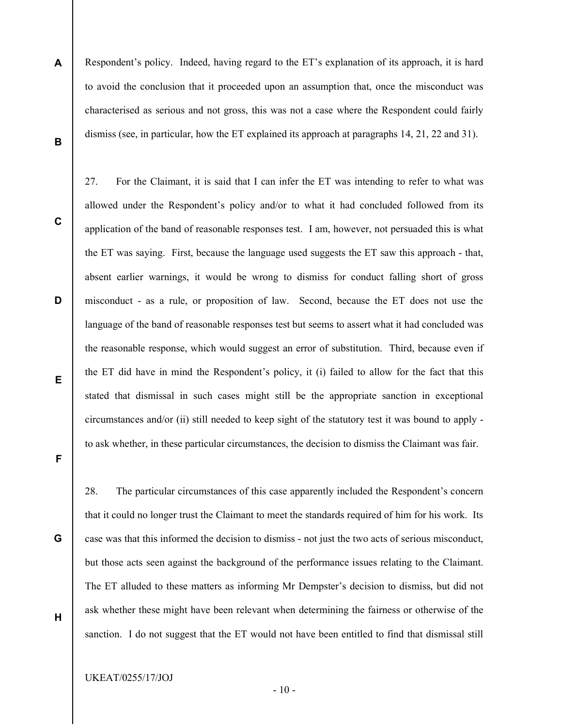A B Respondent's policy. Indeed, having regard to the ET's explanation of its approach, it is hard to avoid the conclusion that it proceeded upon an assumption that, once the misconduct was characterised as serious and not gross, this was not a case where the Respondent could fairly dismiss (see, in particular, how the ET explained its approach at paragraphs 14, 21, 22 and 31).

27. For the Claimant, it is said that I can infer the ET was intending to refer to what was

C

D

allowed under the Respondent's policy and/or to what it had concluded followed from its application of the band of reasonable responses test. I am, however, not persuaded this is what the ET was saying. First, because the language used suggests the ET saw this approach - that, absent earlier warnings, it would be wrong to dismiss for conduct falling short of gross misconduct - as a rule, or proposition of law. Second, because the ET does not use the language of the band of reasonable responses test but seems to assert what it had concluded was the reasonable response, which would suggest an error of substitution. Third, because even if the ET did have in mind the Respondent's policy, it (i) failed to allow for the fact that this stated that dismissal in such cases might still be the appropriate sanction in exceptional circumstances and/or (ii) still needed to keep sight of the statutory test it was bound to apply to ask whether, in these particular circumstances, the decision to dismiss the Claimant was fair.

E

F

G

H

28. The particular circumstances of this case apparently included the Respondent's concern that it could no longer trust the Claimant to meet the standards required of him for his work. Its case was that this informed the decision to dismiss - not just the two acts of serious misconduct, but those acts seen against the background of the performance issues relating to the Claimant. The ET alluded to these matters as informing Mr Dempster's decision to dismiss, but did not ask whether these might have been relevant when determining the fairness or otherwise of the sanction. I do not suggest that the ET would not have been entitled to find that dismissal still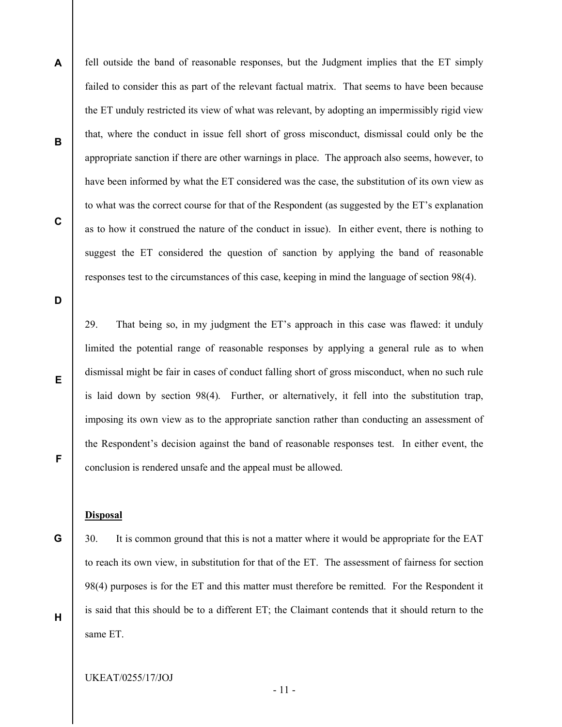A B C fell outside the band of reasonable responses, but the Judgment implies that the ET simply failed to consider this as part of the relevant factual matrix. That seems to have been because the ET unduly restricted its view of what was relevant, by adopting an impermissibly rigid view that, where the conduct in issue fell short of gross misconduct, dismissal could only be the appropriate sanction if there are other warnings in place. The approach also seems, however, to have been informed by what the ET considered was the case, the substitution of its own view as to what was the correct course for that of the Respondent (as suggested by the ET's explanation as to how it construed the nature of the conduct in issue). In either event, there is nothing to suggest the ET considered the question of sanction by applying the band of reasonable responses test to the circumstances of this case, keeping in mind the language of section 98(4).

D

E

F

G

H

29. That being so, in my judgment the ET's approach in this case was flawed: it unduly limited the potential range of reasonable responses by applying a general rule as to when dismissal might be fair in cases of conduct falling short of gross misconduct, when no such rule is laid down by section 98(4). Further, or alternatively, it fell into the substitution trap, imposing its own view as to the appropriate sanction rather than conducting an assessment of the Respondent's decision against the band of reasonable responses test. In either event, the conclusion is rendered unsafe and the appeal must be allowed.

## **Disposal**

30. It is common ground that this is not a matter where it would be appropriate for the EAT to reach its own view, in substitution for that of the ET. The assessment of fairness for section 98(4) purposes is for the ET and this matter must therefore be remitted. For the Respondent it is said that this should be to a different ET; the Claimant contends that it should return to the same ET.